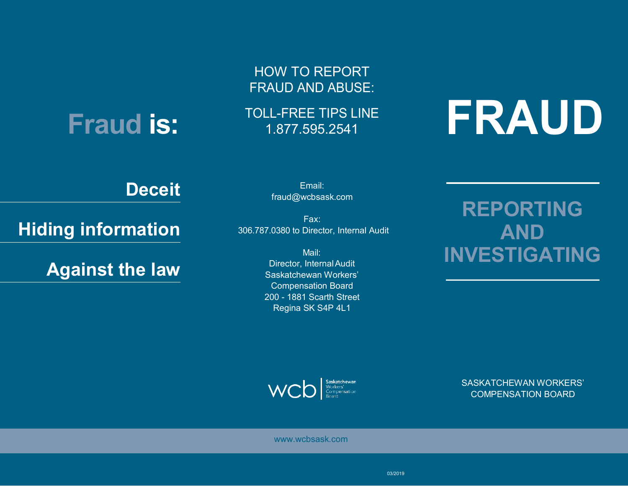## **Fraud is:**

HOW TO REPORT FRAUD AND ABUSE:

TOLL-FREE TIPS LINE

# LL-FREE TIPS LINE **FRAUD**

### **Deceit**

**Hiding information** 

**Against the law**

Email[:](mailto:fraud@wcbsask.com)  [fraud@wcbsask.com](mailto:fraud@wcbsask.com)

Fax: 306.787.0380 to Director, Internal Audit

> Mail: Director, InternalAudit Saskatchewan Workers' Compensation Board 200 - 1881 Scarth Street Regina SK S4P 4L1

**REPORTING AND INVESTIGATING**



SASKATCHEWAN WORKERS' COMPENSATION BOARD

[www.wcbsask.com](http://www.wcbsask.com/)